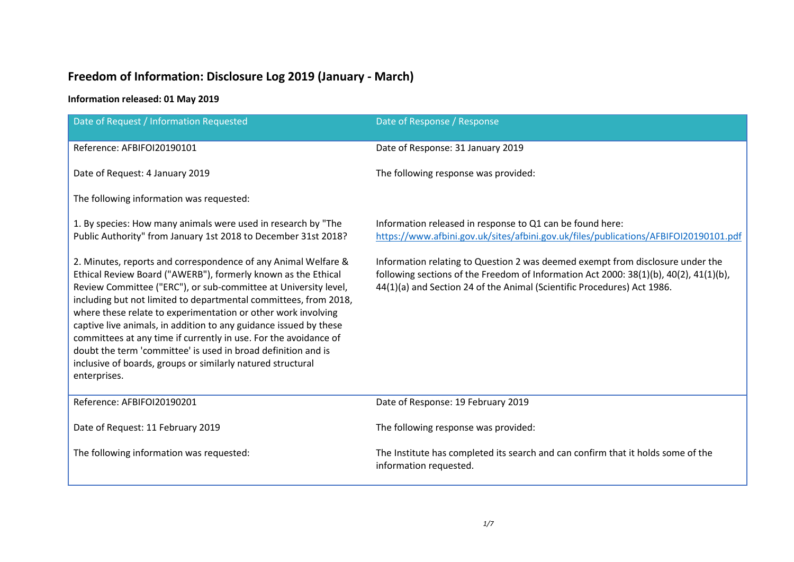# **Freedom of Information: Disclosure Log 2019 (January - March)**

## **Information released: 01 May 2019**

| Date of Request / Information Requested                                                                                                                                                                                                                                                                                                                                                                                                                                                                                                                                                                                          | Date of Response / Response                                                                                                                                                                                                                        |
|----------------------------------------------------------------------------------------------------------------------------------------------------------------------------------------------------------------------------------------------------------------------------------------------------------------------------------------------------------------------------------------------------------------------------------------------------------------------------------------------------------------------------------------------------------------------------------------------------------------------------------|----------------------------------------------------------------------------------------------------------------------------------------------------------------------------------------------------------------------------------------------------|
| Reference: AFBIFOI20190101                                                                                                                                                                                                                                                                                                                                                                                                                                                                                                                                                                                                       | Date of Response: 31 January 2019                                                                                                                                                                                                                  |
| Date of Request: 4 January 2019                                                                                                                                                                                                                                                                                                                                                                                                                                                                                                                                                                                                  | The following response was provided:                                                                                                                                                                                                               |
| The following information was requested:                                                                                                                                                                                                                                                                                                                                                                                                                                                                                                                                                                                         |                                                                                                                                                                                                                                                    |
| 1. By species: How many animals were used in research by "The<br>Public Authority" from January 1st 2018 to December 31st 2018?                                                                                                                                                                                                                                                                                                                                                                                                                                                                                                  | Information released in response to Q1 can be found here:<br>https://www.afbini.gov.uk/sites/afbini.gov.uk/files/publications/AFBIFOI20190101.pdf                                                                                                  |
| 2. Minutes, reports and correspondence of any Animal Welfare &<br>Ethical Review Board ("AWERB"), formerly known as the Ethical<br>Review Committee ("ERC"), or sub-committee at University level,<br>including but not limited to departmental committees, from 2018,<br>where these relate to experimentation or other work involving<br>captive live animals, in addition to any guidance issued by these<br>committees at any time if currently in use. For the avoidance of<br>doubt the term 'committee' is used in broad definition and is<br>inclusive of boards, groups or similarly natured structural<br>enterprises. | Information relating to Question 2 was deemed exempt from disclosure under the<br>following sections of the Freedom of Information Act 2000: 38(1)(b), 40(2), 41(1)(b),<br>44(1)(a) and Section 24 of the Animal (Scientific Procedures) Act 1986. |
| Reference: AFBIFOI20190201                                                                                                                                                                                                                                                                                                                                                                                                                                                                                                                                                                                                       | Date of Response: 19 February 2019                                                                                                                                                                                                                 |
| Date of Request: 11 February 2019                                                                                                                                                                                                                                                                                                                                                                                                                                                                                                                                                                                                | The following response was provided:                                                                                                                                                                                                               |
| The following information was requested:                                                                                                                                                                                                                                                                                                                                                                                                                                                                                                                                                                                         | The Institute has completed its search and can confirm that it holds some of the<br>information requested.                                                                                                                                         |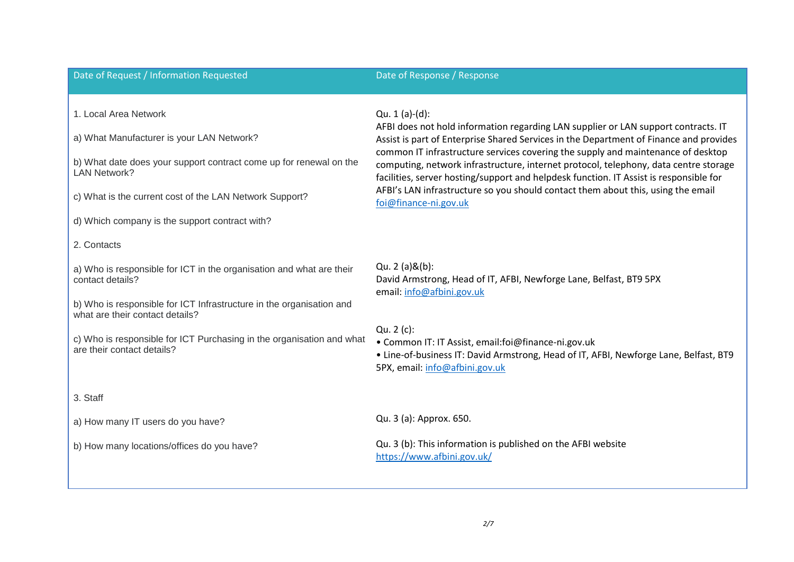### Date of Request / Information Requested Date of Response / Response / Response

1. Local Area Network

a) What Manufacturer is your LAN Network?

b) What date does your support contract come up for renewal on the LAN Network?

c) What is the current cost of the LAN Network Support?

d) Which company is the support contract with?

### 2. Contacts

a) Who is responsible for ICT in the organisation and what are their contact details?

b) Who is responsible for ICT Infrastructure in the organisation and what are their contact details?

c) Who is responsible for ICT Purchasing in the organisation and what are their contact details?

### Qu. 1 (a)-(d):

AFBI does not hold information regarding LAN supplier or LAN support contracts. IT Assist is part of Enterprise Shared Services in the Department of Finance and provides common IT infrastructure services covering the supply and maintenance of desktop computing, network infrastructure, internet protocol, telephony, data centre storage facilities, server hosting/support and helpdesk function. IT Assist is responsible for AFBI's LAN infrastructure so you should contact them about this, using the email [foi@finance-ni.gov.uk](mailto:foi@finance-ni.gov.uk)

Qu. 2 (a)&(b): David Armstrong, Head of IT, AFBI, Newforge Lane, Belfast, BT9 5PX email[: info@afbini.gov.uk](mailto:info@afbini.gov.uk)

Qu. 2 (c):

• Common IT: IT Assist, email:foi@finance-ni.gov.uk

• Line-of-business IT: David Armstrong, Head of IT, AFBI, Newforge Lane, Belfast, BT9 5PX, email: [info@afbini.gov.uk](mailto:info@afbini.gov.uk)

3. Staff

a) How many IT users do you have?

b) How many locations/offices do you have?

### Qu. 3 (a): Approx. 650.

Qu. 3 (b): This information is published on the AFBI website <https://www.afbini.gov.uk/>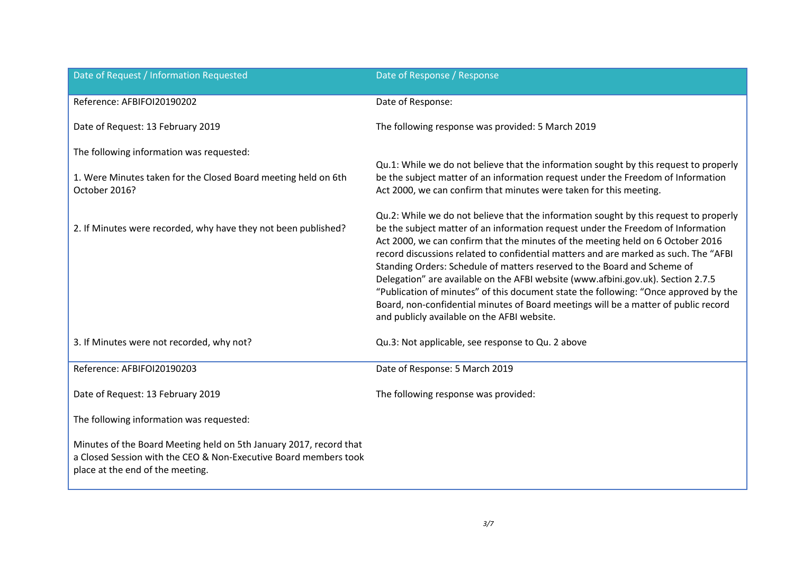| Date of Request / Information Requested                                                                                                                                    | Date of Response / Response                                                                                                                                                                                                                                                                                                                                                                                                                                                                                                                                                                                                                                                                                                                        |
|----------------------------------------------------------------------------------------------------------------------------------------------------------------------------|----------------------------------------------------------------------------------------------------------------------------------------------------------------------------------------------------------------------------------------------------------------------------------------------------------------------------------------------------------------------------------------------------------------------------------------------------------------------------------------------------------------------------------------------------------------------------------------------------------------------------------------------------------------------------------------------------------------------------------------------------|
| Reference: AFBIFOI20190202                                                                                                                                                 | Date of Response:                                                                                                                                                                                                                                                                                                                                                                                                                                                                                                                                                                                                                                                                                                                                  |
| Date of Request: 13 February 2019                                                                                                                                          | The following response was provided: 5 March 2019                                                                                                                                                                                                                                                                                                                                                                                                                                                                                                                                                                                                                                                                                                  |
| The following information was requested:<br>1. Were Minutes taken for the Closed Board meeting held on 6th<br>October 2016?                                                | Qu.1: While we do not believe that the information sought by this request to properly<br>be the subject matter of an information request under the Freedom of Information<br>Act 2000, we can confirm that minutes were taken for this meeting.                                                                                                                                                                                                                                                                                                                                                                                                                                                                                                    |
| 2. If Minutes were recorded, why have they not been published?                                                                                                             | Qu.2: While we do not believe that the information sought by this request to properly<br>be the subject matter of an information request under the Freedom of Information<br>Act 2000, we can confirm that the minutes of the meeting held on 6 October 2016<br>record discussions related to confidential matters and are marked as such. The "AFBI<br>Standing Orders: Schedule of matters reserved to the Board and Scheme of<br>Delegation" are available on the AFBI website (www.afbini.gov.uk). Section 2.7.5<br>"Publication of minutes" of this document state the following: "Once approved by the<br>Board, non-confidential minutes of Board meetings will be a matter of public record<br>and publicly available on the AFBI website. |
| 3. If Minutes were not recorded, why not?                                                                                                                                  | Qu.3: Not applicable, see response to Qu. 2 above                                                                                                                                                                                                                                                                                                                                                                                                                                                                                                                                                                                                                                                                                                  |
| Reference: AFBIFOI20190203                                                                                                                                                 | Date of Response: 5 March 2019                                                                                                                                                                                                                                                                                                                                                                                                                                                                                                                                                                                                                                                                                                                     |
| Date of Request: 13 February 2019                                                                                                                                          | The following response was provided:                                                                                                                                                                                                                                                                                                                                                                                                                                                                                                                                                                                                                                                                                                               |
| The following information was requested:                                                                                                                                   |                                                                                                                                                                                                                                                                                                                                                                                                                                                                                                                                                                                                                                                                                                                                                    |
| Minutes of the Board Meeting held on 5th January 2017, record that<br>a Closed Session with the CEO & Non-Executive Board members took<br>place at the end of the meeting. |                                                                                                                                                                                                                                                                                                                                                                                                                                                                                                                                                                                                                                                                                                                                                    |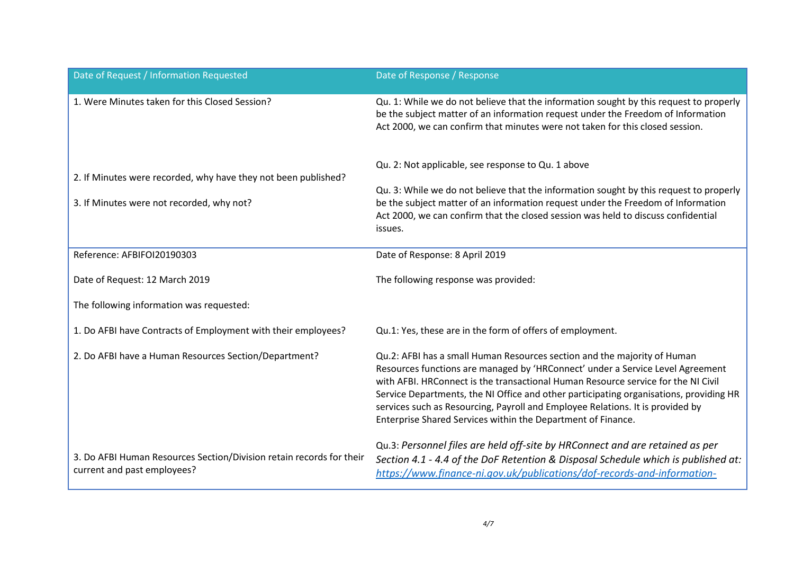| Date of Request / Information Requested                                                                     | Date of Response / Response                                                                                                                                                                                                                                                                                                                                                                                                                                                                 |
|-------------------------------------------------------------------------------------------------------------|---------------------------------------------------------------------------------------------------------------------------------------------------------------------------------------------------------------------------------------------------------------------------------------------------------------------------------------------------------------------------------------------------------------------------------------------------------------------------------------------|
| 1. Were Minutes taken for this Closed Session?                                                              | Qu. 1: While we do not believe that the information sought by this request to properly<br>be the subject matter of an information request under the Freedom of Information<br>Act 2000, we can confirm that minutes were not taken for this closed session.                                                                                                                                                                                                                                 |
| 2. If Minutes were recorded, why have they not been published?<br>3. If Minutes were not recorded, why not? | Qu. 2: Not applicable, see response to Qu. 1 above<br>Qu. 3: While we do not believe that the information sought by this request to properly<br>be the subject matter of an information request under the Freedom of Information<br>Act 2000, we can confirm that the closed session was held to discuss confidential<br>issues.                                                                                                                                                            |
| Reference: AFBIFOI20190303                                                                                  | Date of Response: 8 April 2019                                                                                                                                                                                                                                                                                                                                                                                                                                                              |
| Date of Request: 12 March 2019                                                                              | The following response was provided:                                                                                                                                                                                                                                                                                                                                                                                                                                                        |
| The following information was requested:                                                                    |                                                                                                                                                                                                                                                                                                                                                                                                                                                                                             |
| 1. Do AFBI have Contracts of Employment with their employees?                                               | Qu.1: Yes, these are in the form of offers of employment.                                                                                                                                                                                                                                                                                                                                                                                                                                   |
| 2. Do AFBI have a Human Resources Section/Department?                                                       | Qu.2: AFBI has a small Human Resources section and the majority of Human<br>Resources functions are managed by 'HRConnect' under a Service Level Agreement<br>with AFBI. HRConnect is the transactional Human Resource service for the NI Civil<br>Service Departments, the NI Office and other participating organisations, providing HR<br>services such as Resourcing, Payroll and Employee Relations. It is provided by<br>Enterprise Shared Services within the Department of Finance. |
| 3. Do AFBI Human Resources Section/Division retain records for their<br>current and past employees?         | Qu.3: Personnel files are held off-site by HRConnect and are retained as per<br>Section 4.1 - 4.4 of the DoF Retention & Disposal Schedule which is published at:<br>https://www.finance-ni.gov.uk/publications/dof-records-and-information-                                                                                                                                                                                                                                                |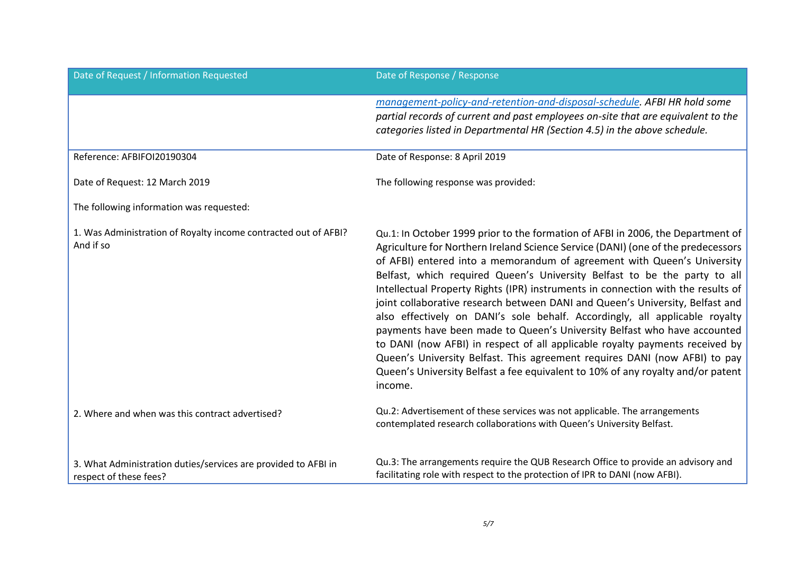| Date of Request / Information Requested                                                  | Date of Response / Response                                                                                                                                                                                                                                                                                                                                                                                                                                                                                                                                                                                                                                                                                                                                                                                                                                                                                             |
|------------------------------------------------------------------------------------------|-------------------------------------------------------------------------------------------------------------------------------------------------------------------------------------------------------------------------------------------------------------------------------------------------------------------------------------------------------------------------------------------------------------------------------------------------------------------------------------------------------------------------------------------------------------------------------------------------------------------------------------------------------------------------------------------------------------------------------------------------------------------------------------------------------------------------------------------------------------------------------------------------------------------------|
|                                                                                          | management-policy-and-retention-and-disposal-schedule. AFBI HR hold some<br>partial records of current and past employees on-site that are equivalent to the<br>categories listed in Departmental HR (Section 4.5) in the above schedule.                                                                                                                                                                                                                                                                                                                                                                                                                                                                                                                                                                                                                                                                               |
| Reference: AFBIFOI20190304                                                               | Date of Response: 8 April 2019                                                                                                                                                                                                                                                                                                                                                                                                                                                                                                                                                                                                                                                                                                                                                                                                                                                                                          |
| Date of Request: 12 March 2019                                                           | The following response was provided:                                                                                                                                                                                                                                                                                                                                                                                                                                                                                                                                                                                                                                                                                                                                                                                                                                                                                    |
| The following information was requested:                                                 |                                                                                                                                                                                                                                                                                                                                                                                                                                                                                                                                                                                                                                                                                                                                                                                                                                                                                                                         |
| 1. Was Administration of Royalty income contracted out of AFBI?<br>And if so             | Qu.1: In October 1999 prior to the formation of AFBI in 2006, the Department of<br>Agriculture for Northern Ireland Science Service (DANI) (one of the predecessors<br>of AFBI) entered into a memorandum of agreement with Queen's University<br>Belfast, which required Queen's University Belfast to be the party to all<br>Intellectual Property Rights (IPR) instruments in connection with the results of<br>joint collaborative research between DANI and Queen's University, Belfast and<br>also effectively on DANI's sole behalf. Accordingly, all applicable royalty<br>payments have been made to Queen's University Belfast who have accounted<br>to DANI (now AFBI) in respect of all applicable royalty payments received by<br>Queen's University Belfast. This agreement requires DANI (now AFBI) to pay<br>Queen's University Belfast a fee equivalent to 10% of any royalty and/or patent<br>income. |
| 2. Where and when was this contract advertised?                                          | Qu.2: Advertisement of these services was not applicable. The arrangements<br>contemplated research collaborations with Queen's University Belfast.                                                                                                                                                                                                                                                                                                                                                                                                                                                                                                                                                                                                                                                                                                                                                                     |
| 3. What Administration duties/services are provided to AFBI in<br>respect of these fees? | Qu.3: The arrangements require the QUB Research Office to provide an advisory and<br>facilitating role with respect to the protection of IPR to DANI (now AFBI).                                                                                                                                                                                                                                                                                                                                                                                                                                                                                                                                                                                                                                                                                                                                                        |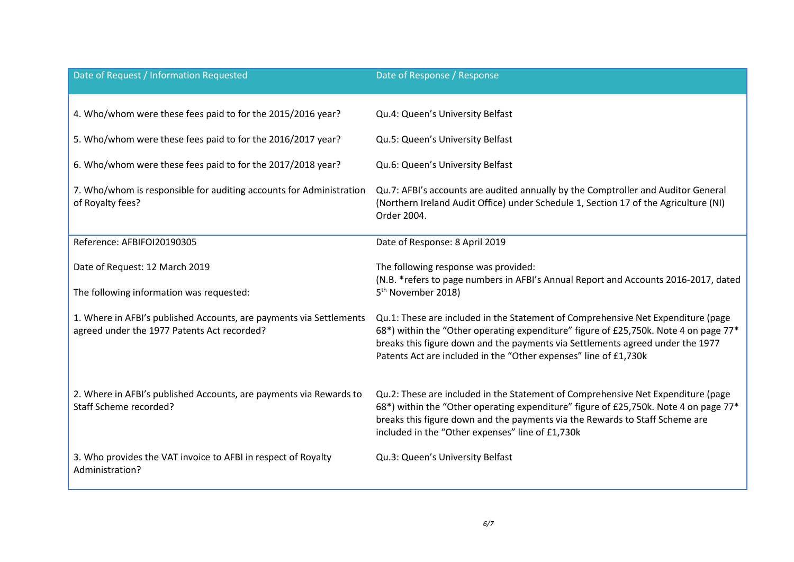| Date of Request / Information Requested                                                                            | Date of Response / Response                                                                                                                                                                                                                                                                                                    |
|--------------------------------------------------------------------------------------------------------------------|--------------------------------------------------------------------------------------------------------------------------------------------------------------------------------------------------------------------------------------------------------------------------------------------------------------------------------|
| 4. Who/whom were these fees paid to for the 2015/2016 year?                                                        | Qu.4: Queen's University Belfast                                                                                                                                                                                                                                                                                               |
| 5. Who/whom were these fees paid to for the 2016/2017 year?                                                        | Qu.5: Queen's University Belfast                                                                                                                                                                                                                                                                                               |
| 6. Who/whom were these fees paid to for the 2017/2018 year?                                                        | Qu.6: Queen's University Belfast                                                                                                                                                                                                                                                                                               |
| 7. Who/whom is responsible for auditing accounts for Administration<br>of Royalty fees?                            | Qu.7: AFBI's accounts are audited annually by the Comptroller and Auditor General<br>(Northern Ireland Audit Office) under Schedule 1, Section 17 of the Agriculture (NI)<br>Order 2004.                                                                                                                                       |
| Reference: AFBIFOI20190305                                                                                         | Date of Response: 8 April 2019                                                                                                                                                                                                                                                                                                 |
| Date of Request: 12 March 2019<br>The following information was requested:                                         | The following response was provided:<br>(N.B. * refers to page numbers in AFBI's Annual Report and Accounts 2016-2017, dated<br>5 <sup>th</sup> November 2018)                                                                                                                                                                 |
| 1. Where in AFBI's published Accounts, are payments via Settlements<br>agreed under the 1977 Patents Act recorded? | Qu.1: These are included in the Statement of Comprehensive Net Expenditure (page<br>68*) within the "Other operating expenditure" figure of £25,750k. Note 4 on page 77*<br>breaks this figure down and the payments via Settlements agreed under the 1977<br>Patents Act are included in the "Other expenses" line of £1,730k |
| 2. Where in AFBI's published Accounts, are payments via Rewards to<br>Staff Scheme recorded?                       | Qu.2: These are included in the Statement of Comprehensive Net Expenditure (page<br>68*) within the "Other operating expenditure" figure of £25,750k. Note 4 on page 77*<br>breaks this figure down and the payments via the Rewards to Staff Scheme are<br>included in the "Other expenses" line of £1,730k                   |
| 3. Who provides the VAT invoice to AFBI in respect of Royalty<br>Administration?                                   | Qu.3: Queen's University Belfast                                                                                                                                                                                                                                                                                               |